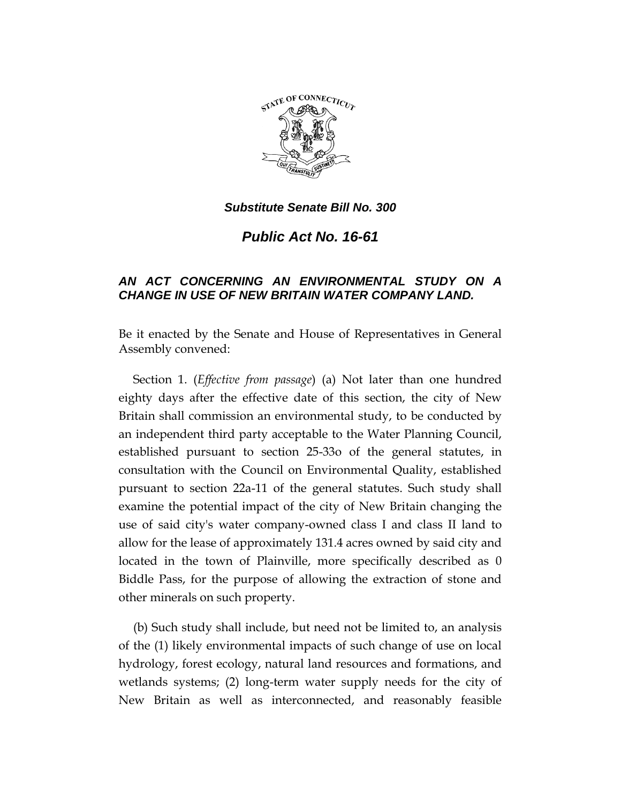

*Substitute Senate Bill No. 300*

*Public Act No. 16-61*

## *AN ACT CONCERNING AN ENVIRONMENTAL STUDY ON A CHANGE IN USE OF NEW BRITAIN WATER COMPANY LAND.*

Be it enacted by the Senate and House of Representatives in General Assembly convened:

Section 1. (*Effective from passage*) (a) Not later than one hundred eighty days after the effective date of this section, the city of New Britain shall commission an environmental study, to be conducted by an independent third party acceptable to the Water Planning Council, established pursuant to section 25-33o of the general statutes, in consultation with the Council on Environmental Quality, established pursuant to section 22a-11 of the general statutes. Such study shall examine the potential impact of the city of New Britain changing the use of said city's water company-owned class I and class II land to allow for the lease of approximately 131.4 acres owned by said city and located in the town of Plainville, more specifically described as 0 Biddle Pass, for the purpose of allowing the extraction of stone and other minerals on such property.

(b) Such study shall include, but need not be limited to, an analysis of the (1) likely environmental impacts of such change of use on local hydrology, forest ecology, natural land resources and formations, and wetlands systems; (2) long-term water supply needs for the city of New Britain as well as interconnected, and reasonably feasible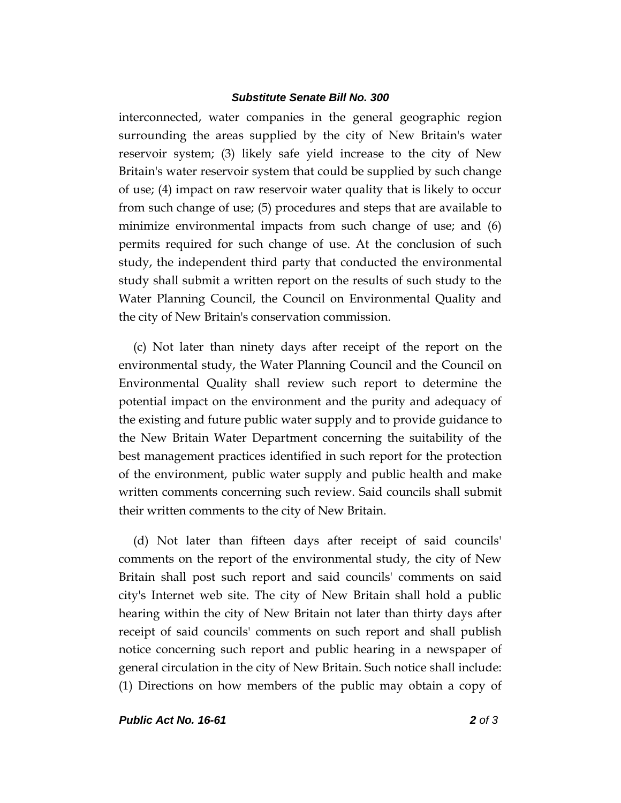## *Substitute Senate Bill No. 300*

interconnected, water companies in the general geographic region surrounding the areas supplied by the city of New Britain's water reservoir system; (3) likely safe yield increase to the city of New Britain's water reservoir system that could be supplied by such change of use; (4) impact on raw reservoir water quality that is likely to occur from such change of use; (5) procedures and steps that are available to minimize environmental impacts from such change of use; and (6) permits required for such change of use. At the conclusion of such study, the independent third party that conducted the environmental study shall submit a written report on the results of such study to the Water Planning Council, the Council on Environmental Quality and the city of New Britain's conservation commission.

(c) Not later than ninety days after receipt of the report on the environmental study, the Water Planning Council and the Council on Environmental Quality shall review such report to determine the potential impact on the environment and the purity and adequacy of the existing and future public water supply and to provide guidance to the New Britain Water Department concerning the suitability of the best management practices identified in such report for the protection of the environment, public water supply and public health and make written comments concerning such review. Said councils shall submit their written comments to the city of New Britain.

(d) Not later than fifteen days after receipt of said councils' comments on the report of the environmental study, the city of New Britain shall post such report and said councils' comments on said city's Internet web site. The city of New Britain shall hold a public hearing within the city of New Britain not later than thirty days after receipt of said councils' comments on such report and shall publish notice concerning such report and public hearing in a newspaper of general circulation in the city of New Britain. Such notice shall include: (1) Directions on how members of the public may obtain a copy of